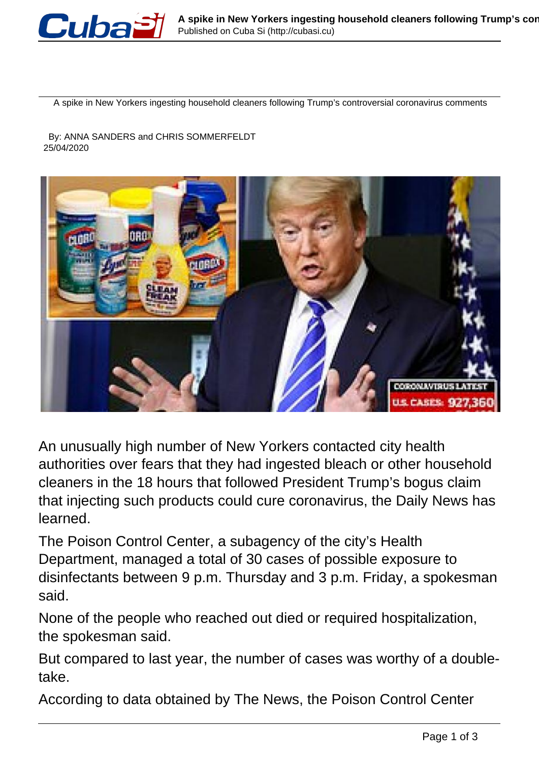

A spike in New Yorkers ingesting household cleaners following Trump's controversial coronavirus comments

 By: ANNA SANDERS and CHRIS SOMMERFELDT 25/04/2020



An unusually high number of New Yorkers contacted city health authorities over fears that they had ingested bleach or other household cleaners in the 18 hours that followed President Trump's bogus claim that injecting such products could cure coronavirus, the Daily News has learned.

The Poison Control Center, a subagency of the city's Health Department, managed a total of 30 cases of possible exposure to disinfectants between 9 p.m. Thursday and 3 p.m. Friday, a spokesman said.

None of the people who reached out died or required hospitalization, the spokesman said.

But compared to last year, the number of cases was worthy of a doubletake.

According to data obtained by The News, the Poison Control Center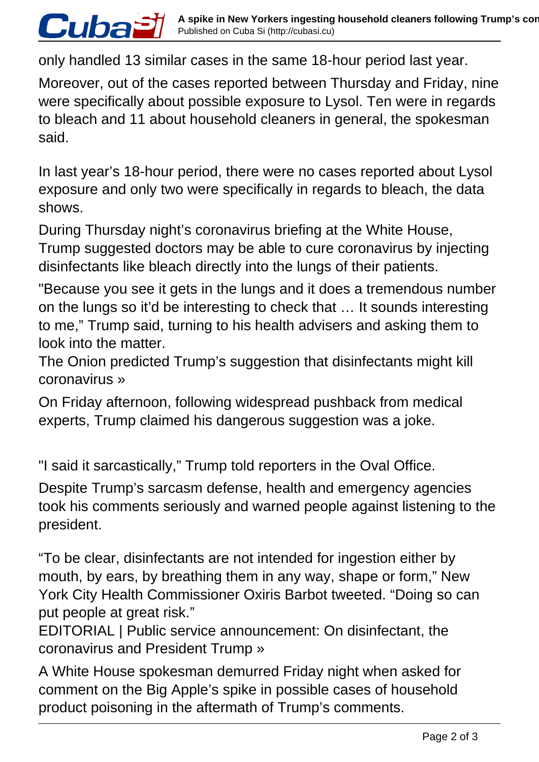only handled 13 similar cases in the same 18-hour period last year.

*Cubaă* 

Moreover, out of the cases reported between Thursday and Friday, nine were specifically about possible exposure to Lysol. Ten were in regards to bleach and 11 about household cleaners in general, the spokesman said.

In last year's 18-hour period, there were no cases reported about Lysol exposure and only two were specifically in regards to bleach, the data shows.

During Thursday night's coronavirus briefing at the White House, Trump suggested doctors may be able to cure coronavirus by injecting disinfectants like bleach directly into the lungs of their patients.

"Because you see it gets in the lungs and it does a tremendous number on the lungs so it'd be interesting to check that … It sounds interesting to me," Trump said, turning to his health advisers and asking them to look into the matter.

The Onion predicted Trump's suggestion that disinfectants might kill coronavirus »

On Friday afternoon, following widespread pushback from medical experts, Trump claimed his dangerous suggestion was a joke.

"I said it sarcastically," Trump told reporters in the Oval Office.

Despite Trump's sarcasm defense, health and emergency agencies took his comments seriously and warned people against listening to the president.

"To be clear, disinfectants are not intended for ingestion either by mouth, by ears, by breathing them in any way, shape or form," New York City Health Commissioner Oxiris Barbot tweeted. "Doing so can put people at great risk."

EDITORIAL | Public service announcement: On disinfectant, the coronavirus and President Trump »

A White House spokesman demurred Friday night when asked for comment on the Big Apple's spike in possible cases of household product poisoning in the aftermath of Trump's comments.